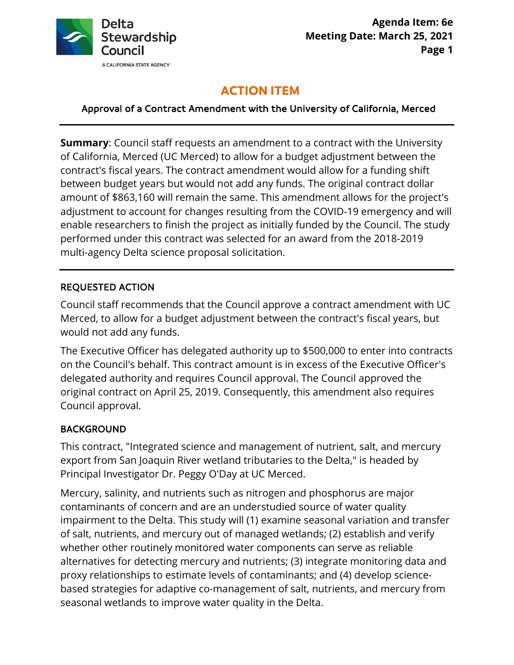

# **ACTION ITEM**

Approval of a Contract Amendment with the University of California, Merced

 contract's fiscal years. The contract amendment would allow for a funding shift enable researchers to finish the project as initially funded by the Council. The study **Summary**: Council staff requests an amendment to a contract with the University of California, Merced (UC Merced) to allow for a budget adjustment between the between budget years but would not add any funds. The original contract dollar amount of \$863,160 will remain the same. This amendment allows for the project's adjustment to account for changes resulting from the COVID-19 emergency and will performed under this contract was selected for an award from the 2018-2019 multi-agency Delta science proposal solicitation.

#### REQUESTED ACTION

Council staff recommends that the Council approve a contract amendment with UC Merced, to allow for a budget adjustment between the contract's fiscal years, but would not add any funds.

 on the Council's behalf. This contract amount is in excess of the Executive Officer's original contract on April 25, 2019. Consequently, this amendment also requires The Executive Officer has delegated authority up to \$500,000 to enter into contracts delegated authority and requires Council approval. The Council approved the Council approval.

#### BACKGROUND

This contract, "Integrated science and management of nutrient, salt, and mercury export from San Joaquin River wetland tributaries to the Delta," is headed by Principal Investigator Dr. Peggy O'Day at UC Merced.

Mercury, salinity, and nutrients such as nitrogen and phosphorus are major contaminants of concern and are an understudied source of water quality impairment to the Delta. This study will (1) examine seasonal variation and transfer of salt, nutrients, and mercury out of managed wetlands; (2) establish and verify whether other routinely monitored water components can serve as reliable alternatives for detecting mercury and nutrients; (3) integrate monitoring data and proxy relationships to estimate levels of contaminants; and (4) develop sciencebased strategies for adaptive co-management of salt, nutrients, and mercury from seasonal wetlands to improve water quality in the Delta.